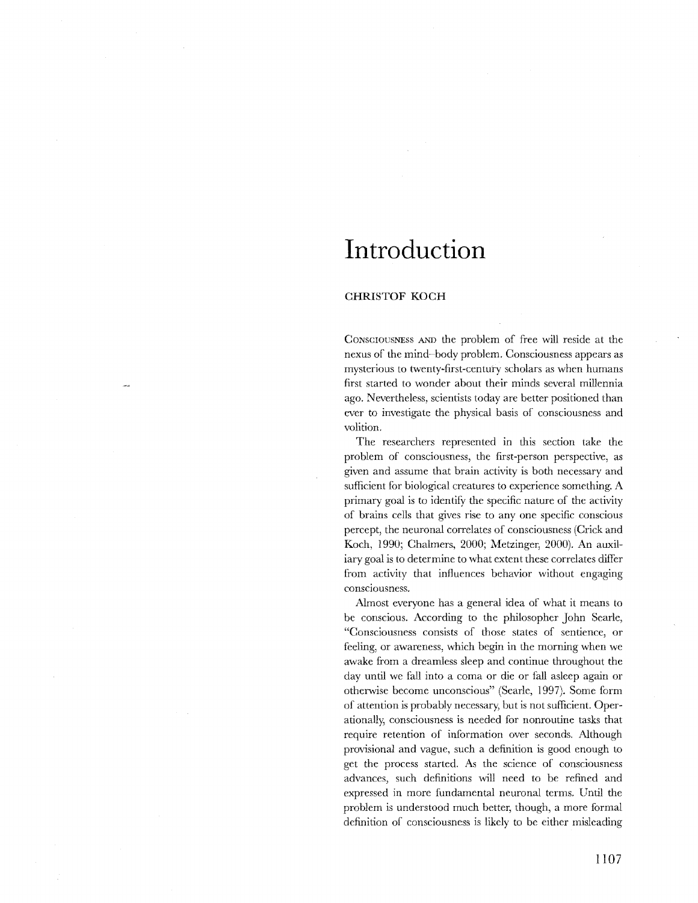## **Introduction**

## **CHRISTOF KOCH**

CONSCIOUSNESS AND the problem of free will reside at the nexus of the mind-body problem. Consciousness appears as mysterious to twenty-first-century scholars as when humans first started to wonder about their minds several millennia ago. Nevertheless, scientists today are better positioned than ever to investigate the physical basis of consciousness and volition.

The researchers represented in this section take the problem of consciousness, the first-person perspective, as given and assume that brain activity is both necessary and sufficient for biological creatures to experience something. A primary goal is to identify the specific nature of the activity of brains cells that gives rise to anyone specific conscious percept, the neuronal correlates of consciousness (Crick and Koch, 1990; Chalmers, 2000; Metzinger, 2000). An auxiliary goal is to determine to what extent these correlates differ from activity that influences behavior without engaging consciousness.

Almost everyone has a general idea of what it means to be conscious. According to the philosopher John Searle, "Consciousness consists of those states of sentience, or feeling, or awareness, which begin in the morning when we awake from a dreamless sleep and continue throughout the day until we fall into a coma or die or fall asleep again or otherwise become unconscious" (Searle, 1997). Some form of attention is probably necessary, but is not sufficient. Operationally, consciousness is needed for nonroutine tasks that require retention of information over seconds. Although provisional and vague, such a definition is good enough to get the process started. As the science of consciousness advances, such definitions will need to be refined and expressed in more fundamental neuronal terms. Until the problem is understood much better, though, a more formal definition of consciousness is likely to be either misleading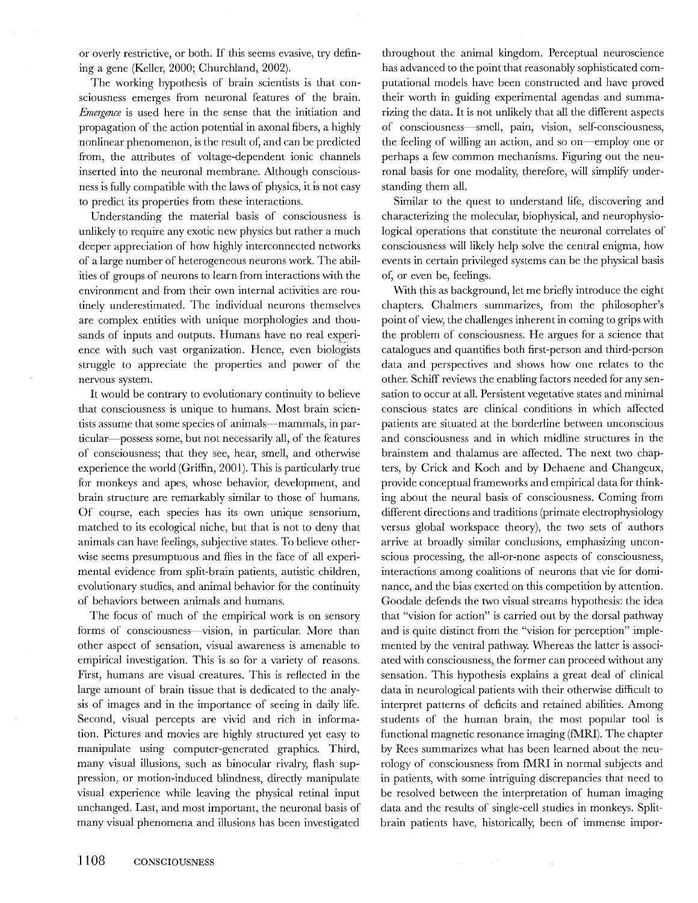or overly restrictive, or both. If this seems evasive, try defining a gene (Keller, 2000; Churchland, 2002).

The working hypothesis of brain scientists is that consciousness emerges from neuronal features of the brain. *Emergence* is used here in the sense that the initiation and propagation of the action potential in axonal fibers, a highly nonlinear phenomenon, is the result of, and can be predicted from, the attributes of voltage-dependent ionic channels inserted into the neuronal membrane. Although consciousness is fully compatible with the laws of physics, it is not easy to predict its properties from these interactions.

Understanding the material basis of consciousness is unlikely to require any exotic new physics but rather a much deeper appreciation of how highly interconnected networks of a large number of heterogeneous neurons work. The abilities of groups of neurons to learn from interactions with the environment and from their own internal activities are routinely underestimated. The individual neurons themselves are complex entities with unique morphologies and thousands of inputs and outputs. Humans have no real experience with such vast organization. Hence, even biologists struggle to appreciate the properties and power of the nervous system.

It would be contrary to evolutionary continuity to believe that consciousness is unique to humans. Most brain scientists assume that some species of animals-mammals, in particular-possess some, but not necessarily all, of the features of consciousness; that they see, hear, smell, and otherwise experience the world (Griffin, 2001). This is particularly true for monkeys and apes, whose behavior, development, and brain structure are remarkably similar to those of humans. Of course, each species has its own unique sensorium, matched to its ecological niche, but that is not to deny that animals can have feelings, subjective states. To believe otherwise seems presumptuous and flies in the face of all experimental evidence from split-brain patients, autistic children, evolutionary studies, and animal behavior for the continuity of behaviors between animals and humans.

The focus of much of the empirical work is on sensory forms of consciousness—vision, in particular. More than other aspect of sensation, visual awareness is amenable to empirical investigation. This is so for a variety of reasons. First, humans are visual creatures. This is reflected in the large amount of brain tissue that is dedicated to the analysis of images and in the importance of seeing in daily life. Second, visual percepts are vivid and rich in information. Pictures and movies are highly structured yet easy to manipulate using computer-generated graphics. Third, many visual illusions, such as binocular rivalry, flash suppression, or motion-induced blindness, directly manipulate visual experience while leaving the physical retinal input unchanged. Last, and most important, the neuronal basis of many visual phenomena and illusions has been investigated throughout the animal kingdom. Perceptual neuroscience has advanced to the point that reasonably sophisticated computational models have been constructed and have proved their worth in guiding experimental agendas and summarizing the data. It is not unlikely that all the different aspects of consciousness-smell, pain, vision, self-consciousness, the feeling of willing an action, and so on-employ one or perhaps a few common mechanisms. Figuring out the neuronal basis for one modality, therefore, will simplify understanding them all.

Similar to the quest to understand life, discovering and characterizing the molecular, biophysical, and neurophysiological operations that constitute the neuronal correlates of consciousness will likely help solve the central enigma, how events in certain privileged systems can be the physical basis of, or even be, feelings.

With this as background, let me briefly introduce the eight chapters. Chalmers summarizes, from the philosopher's point of view, the challenges inherent in coming to grips with the problem of consciousness. He argues for a science that catalogues and quantifies both first-person and third-person data and perspectives and shows how one relates to the other. Schiff reviews the enabling factors needed for any sensation to occur at all. Persistent vegetative states and minimal conscious states are clinical conditions in which affected patients are situated at the borderline between unconscious and consciousness and in which midline structures in the brainstem and thalamus are affected. The next two chapters, by Crick and Koch and by Dehaene and Changeux, provide conceptual frameworks and empirical data for thinking about the neural basis of consciousness. Coming from different directions and traditions (primate electrophysiology versus global workspace theory), the two sets of authors arrive at broadly similar conclusions, emphasizing unconscious processing, the all-or-none aspects of consciousness, interactions among coalitions of neurons that vie for dominance, and the bias exerted on this competition by attention. Goodale defends the two visual streams hypothesis: the idea that "vision for action" is carried out by the dorsal pathway and is quite distinct from the "vision for perception" implemented by the ventral pathway. Whereas the latter is associated with consciousness, the former can proceed without any sensation. This hypothesis explains a great deal of clinical data in neurological patients with their otherwise difficult to interpret patterns of deficits and retained abilities. Among students of the human brain, the most popular tool is functional magnetic resonance imaging  $(fMRI)$ . The chapter by Rees summarizes what has been learned about the neurology of consciousness from fMRI in normal subjects and in patients, with some intriguing discrepancies that need to be resolved between the interpretation of human imaging data and the results of single-cell studies in monkeys. Splitbrain patients have, historically, been of immense impor-

 $\bar{\chi}$